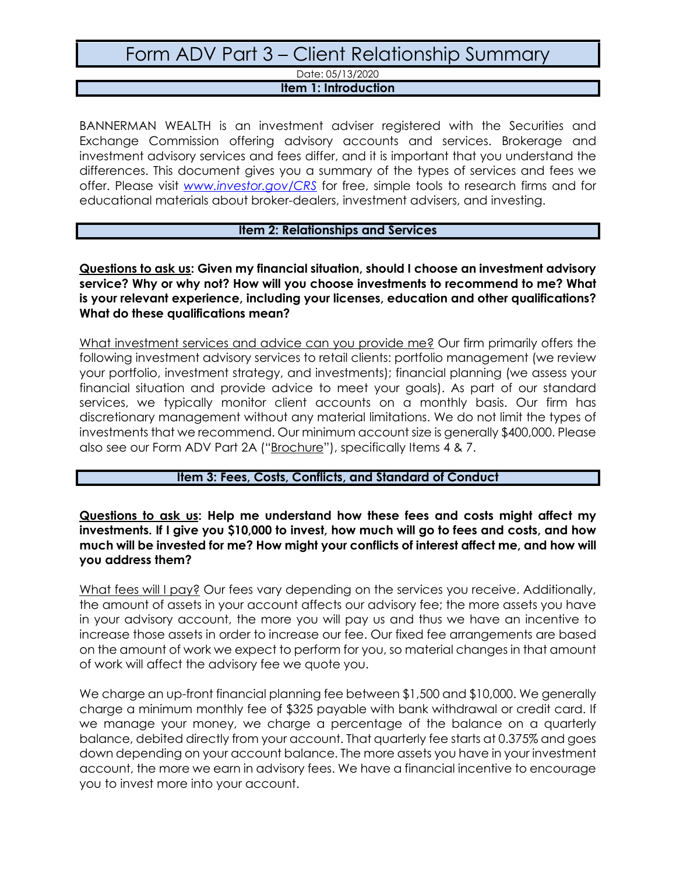Date: 05/13/2020

#### **Item 1: Introduction**

BANNERMAN WEALTH is an investment adviser registered with the Securities and Exchange Commission offering advisory accounts and services. Brokerage and investment advisory services and fees differ, and it is important that you understand the differences. This document gives you a summary of the types of services and fees we offer. Please visit *[www.investor.gov/CRS](http://www.investor.gov/CRS)* for free, simple tools to research firms and for educational materials about broker-dealers, investment advisers, and investing.

#### **Item 2: Relationships and Services**

**Questions to ask us: Given my financial situation, should I choose an investment advisory service? Why or why not? How will you choose investments to recommend to me? What is your relevant experience, including your licenses, education and other qualifications? What do these qualifications mean?**

What investment services and advice can you provide me? Our firm primarily offers the following investment advisory services to retail clients: portfolio management (we review your portfolio, investment strategy, and investments); financial planning (we assess your financial situation and provide advice to meet your goals). As part of our standard services, we typically monitor client accounts on a monthly basis. Our firm has discretionary management without any material limitations. We do not limit the types of investments that we recommend. Our minimum account size is generally \$400,000. Please also see our Form ADV Part 2A ("[Brochure](https://adviserinfo.sec.gov/firm/summary/284677)"), specifically Items 4 & 7.

#### **Item 3: Fees, Costs, Conflicts, and Standard of Conduct**

**Questions to ask us: Help me understand how these fees and costs might affect my investments. If I give you \$10,000 to invest, how much will go to fees and costs, and how much will be invested for me? How might your conflicts of interest affect me, and how will you address them?**

What fees will I pay? Our fees vary depending on the services you receive. Additionally, the amount of assets in your account affects our advisory fee; the more assets you have in your advisory account, the more you will pay us and thus we have an incentive to increase those assets in order to increase our fee. Our fixed fee arrangements are based on the amount of work we expect to perform for you, so material changes in that amount of work will affect the advisory fee we quote you.

We charge an up-front financial planning fee between \$1,500 and \$10,000. We generally charge a minimum monthly fee of \$325 payable with bank withdrawal or credit card. If we manage your money, we charge a percentage of the balance on a quarterly balance, debited directly from your account. That quarterly fee starts at 0.375% and goes down depending on your account balance. The more assets you have in your investment account, the more we earn in advisory fees. We have a financial incentive to encourage you to invest more into your account.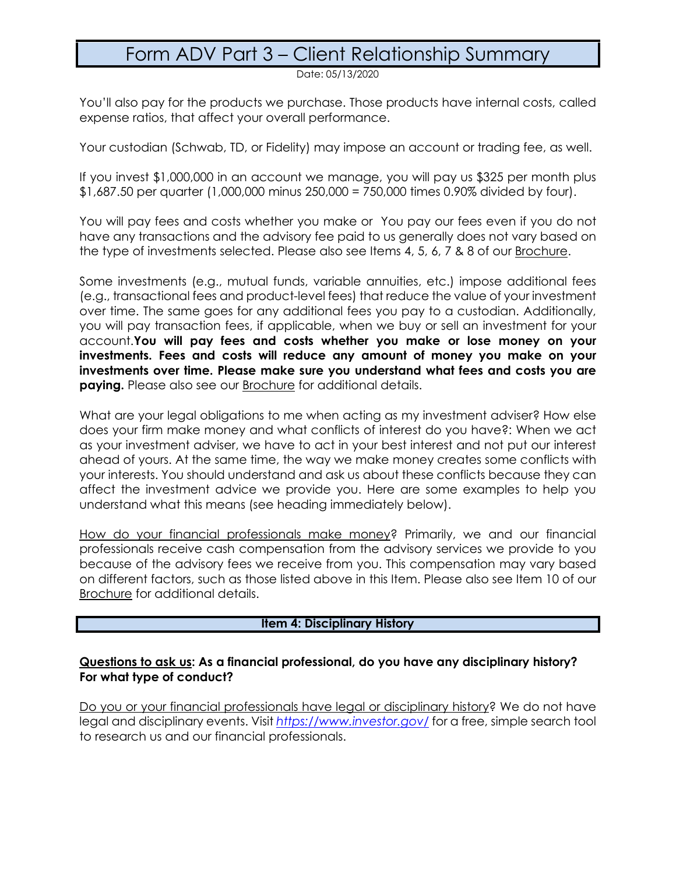Date: 05/13/2020

You'll also pay for the products we purchase. Those products have internal costs, called expense ratios, that affect your overall performance.

Your custodian (Schwab, TD, or Fidelity) may impose an account or trading fee, as well.

If you invest \$1,000,000 in an account we manage, you will pay us \$325 per month plus \$1,687.50 per quarter (1,000,000 minus 250,000 = 750,000 times 0.90% divided by four).

You will pay fees and costs whether you make or You pay our fees even if you do not have any transactions and the advisory fee paid to us generally does not vary based on the type of investments selected. Please also see Items 4, 5, 6, 7 & 8 of our [Brochure.](https://adviserinfo.sec.gov/firm/summary/284677)

Some investments (e.g., mutual funds, variable annuities, etc.) impose additional fees (e.g., transactional fees and product-level fees) that reduce the value of your investment over time. The same goes for any additional fees you pay to a custodian. Additionally, you will pay transaction fees, if applicable, when we buy or sell an investment for your account.**You will pay fees and costs whether you make or lose money on your investments. Fees and costs will reduce any amount of money you make on your investments over time. Please make sure you understand what fees and costs you are paying.** Please also see our **[Brochure](https://adviserinfo.sec.gov/firm/summary/284677)** for additional details.

What are your legal obligations to me when acting as my investment adviser? How else does your firm make money and what conflicts of interest do you have?: When we act as your investment adviser, we have to act in your best interest and not put our interest ahead of yours. At the same time, the way we make money creates some conflicts with your interests. You should understand and ask us about these conflicts because they can affect the investment advice we provide you. Here are some examples to help you understand what this means (see heading immediately below).

How do your financial professionals make money? Primarily, we and our financial professionals receive cash compensation from the advisory services we provide to you because of the advisory fees we receive from you. This compensation may vary based on different factors, such as those listed above in this Item. Please also see Item 10 of our [Brochure](https://adviserinfo.sec.gov/firm/summary/284677) for additional details.

#### **Item 4: Disciplinary History**

#### **Questions to ask us: As a financial professional, do you have any disciplinary history? For what type of conduct?**

Do you or your financial professionals have legal or disciplinary history? We do not have legal and disciplinary events. Visit *<https://www.investor.gov/>* for a free, simple search tool to research us and our financial professionals.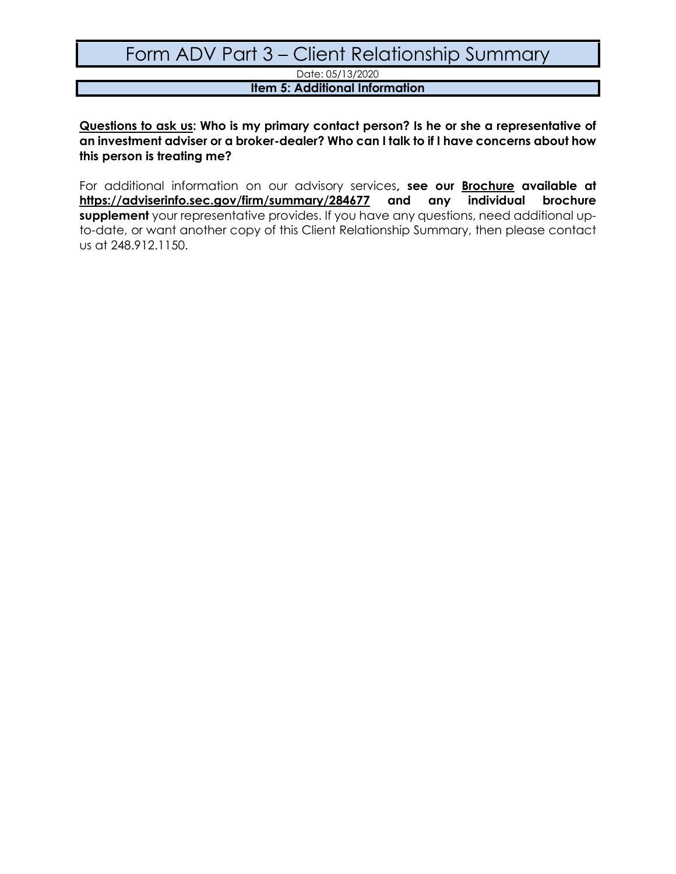Date: 05/13/2020

### **Item 5: Additional Information**

**Questions to ask us: Who is my primary contact person? Is he or she a representative of an investment adviser or a broker-dealer? Who can I talk to if I have concerns about how this person is treating me?**

For additional information on our advisory services**, see our [Brochure](https://adviserinfo.sec.gov/firm/summary/284677) available at <https://adviserinfo.sec.gov/firm/summary/284677> and any individual brochure supplement** your representative provides. If you have any questions, need additional upto-date, or want another copy of this Client Relationship Summary, then please contact us at 248.912.1150.